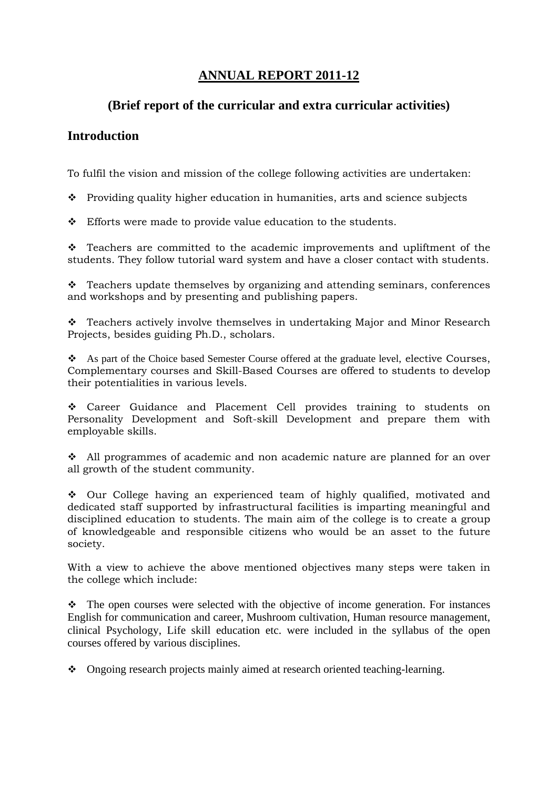# **ANNUAL REPORT 2011-12**

# **(Brief report of the curricular and extra curricular activities)**

# **Introduction**

To fulfil the vision and mission of the college following activities are undertaken:

\* Providing quality higher education in humanities, arts and science subjects

Efforts were made to provide value education to the students.

 $\div$  Teachers are committed to the academic improvements and upliftment of the students. They follow tutorial ward system and have a closer contact with students.

\* Teachers update themselves by organizing and attending seminars, conferences and workshops and by presenting and publishing papers.

\* Teachers actively involve themselves in undertaking Major and Minor Research Projects, besides guiding Ph.D., scholars.

 As part of the Choice based Semester Course offered at the graduate level, elective Courses, Complementary courses and Skill-Based Courses are offered to students to develop their potentialities in various levels.

 Career Guidance and Placement Cell provides training to students on Personality Development and Soft-skill Development and prepare them with employable skills.

 $\div$  All programmes of academic and non academic nature are planned for an over all growth of the student community.

 Our College having an experienced team of highly qualified, motivated and dedicated staff supported by infrastructural facilities is imparting meaningful and disciplined education to students. The main aim of the college is to create a group of knowledgeable and responsible citizens who would be an asset to the future society.

With a view to achieve the above mentioned objectives many steps were taken in the college which include:

 The open courses were selected with the objective of income generation. For instances English for communication and career, Mushroom cultivation, Human resource management, clinical Psychology, Life skill education etc. were included in the syllabus of the open courses offered by various disciplines.

• Ongoing research projects mainly aimed at research oriented teaching-learning.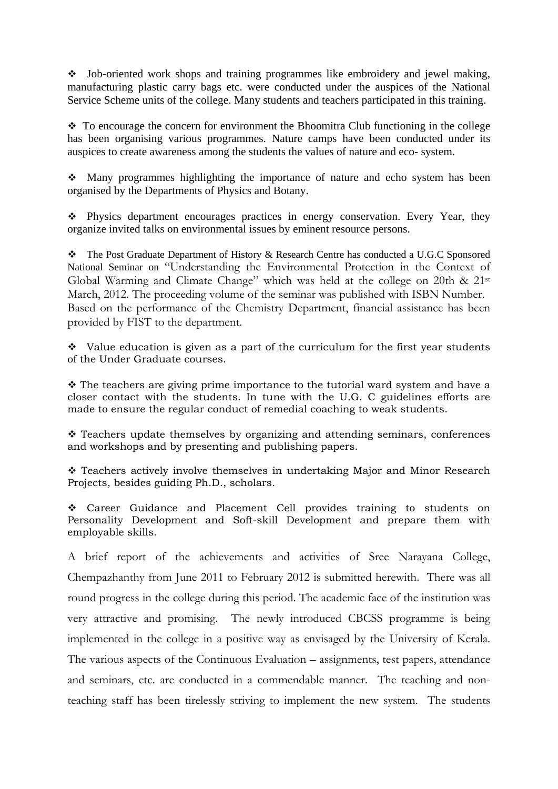Job-oriented work shops and training programmes like embroidery and jewel making, manufacturing plastic carry bags etc. were conducted under the auspices of the National Service Scheme units of the college. Many students and teachers participated in this training.

 To encourage the concern for environment the Bhoomitra Club functioning in the college has been organising various programmes. Nature camps have been conducted under its auspices to create awareness among the students the values of nature and eco- system.

 Many programmes highlighting the importance of nature and echo system has been organised by the Departments of Physics and Botany.

• Physics department encourages practices in energy conservation. Every Year, they organize invited talks on environmental issues by eminent resource persons.

 The Post Graduate Department of History & Research Centre has conducted a U.G.C Sponsored National Seminar on "Understanding the Environmental Protection in the Context of Global Warming and Climate Change" which was held at the college on 20th & 21st March, 2012. The proceeding volume of the seminar was published with ISBN Number. Based on the performance of the Chemistry Department, financial assistance has been provided by FIST to the department.

 $\cdot$  Value education is given as a part of the curriculum for the first year students of the Under Graduate courses.

\* The teachers are giving prime importance to the tutorial ward system and have a closer contact with the students. In tune with the U.G. C guidelines efforts are made to ensure the regular conduct of remedial coaching to weak students.

 Teachers update themselves by organizing and attending seminars, conferences and workshops and by presenting and publishing papers.

 Teachers actively involve themselves in undertaking Major and Minor Research Projects, besides guiding Ph.D., scholars.

 Career Guidance and Placement Cell provides training to students on Personality Development and Soft-skill Development and prepare them with employable skills.

A brief report of the achievements and activities of Sree Narayana College, Chempazhanthy from June 2011 to February 2012 is submitted herewith. There was all round progress in the college during this period. The academic face of the institution was very attractive and promising. The newly introduced CBCSS programme is being implemented in the college in a positive way as envisaged by the University of Kerala. The various aspects of the Continuous Evaluation – assignments, test papers, attendance and seminars, etc. are conducted in a commendable manner. The teaching and nonteaching staff has been tirelessly striving to implement the new system. The students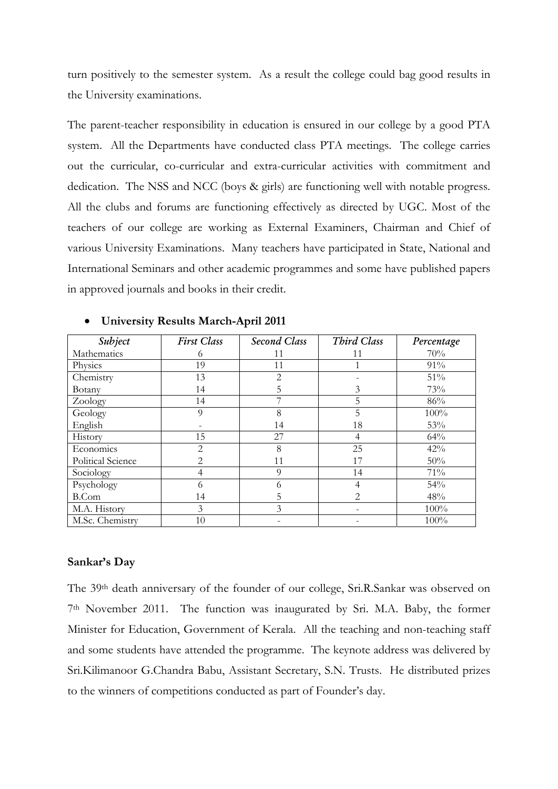turn positively to the semester system. As a result the college could bag good results in the University examinations.

The parent-teacher responsibility in education is ensured in our college by a good PTA system. All the Departments have conducted class PTA meetings. The college carries out the curricular, co-curricular and extra-curricular activities with commitment and dedication. The NSS and NCC (boys & girls) are functioning well with notable progress. All the clubs and forums are functioning effectively as directed by UGC. Most of the teachers of our college are working as External Examiners, Chairman and Chief of various University Examinations. Many teachers have participated in State, National and International Seminars and other academic programmes and some have published papers in approved journals and books in their credit.

| Subject                  | <b>First Class</b>            | <b>Second Class</b> | Third Class    | Percentage |
|--------------------------|-------------------------------|---------------------|----------------|------------|
| Mathematics              | 6                             | 11                  | 11             | 70%        |
| Physics                  | 19                            | 11                  |                | 91%        |
| Chemistry                | 13                            | 2                   |                | 51%        |
| Botany                   | 14                            | 5                   | 3              | 73%        |
| Zoology                  | 14                            |                     | 5              | 86%        |
| Geology                  | 9                             | 8                   | 5              | 100%       |
| English                  |                               | 14                  | 18             | 53%        |
| History                  | 15                            | 27                  | 4              | 64%        |
| Economics                | $\mathfrak{D}$                | 8                   | 25             | 42%        |
| <b>Political Science</b> | $\mathfrak{D}_{\mathfrak{p}}$ | 11                  | 17             | 50%        |
| Sociology                | 4                             | 9                   | 14             | 71%        |
| Psychology               | 6                             | 0                   | 4              | 54%        |
| B.Com                    | 14                            | 5                   | $\mathfrak{D}$ | 48%        |
| M.A. History             | 3                             | 3                   |                | 100%       |
| M.Sc. Chemistry          | 10                            |                     |                | 100%       |

#### • **University Results March-April 2011**

#### **Sankar's Day**

The 39<sup>th</sup> death anniversary of the founder of our college, Sri.R.Sankar was observed on 7th November 2011. The function was inaugurated by Sri. M.A. Baby, the former Minister for Education, Government of Kerala. All the teaching and non-teaching staff and some students have attended the programme. The keynote address was delivered by Sri.Kilimanoor G.Chandra Babu, Assistant Secretary, S.N. Trusts. He distributed prizes to the winners of competitions conducted as part of Founder's day.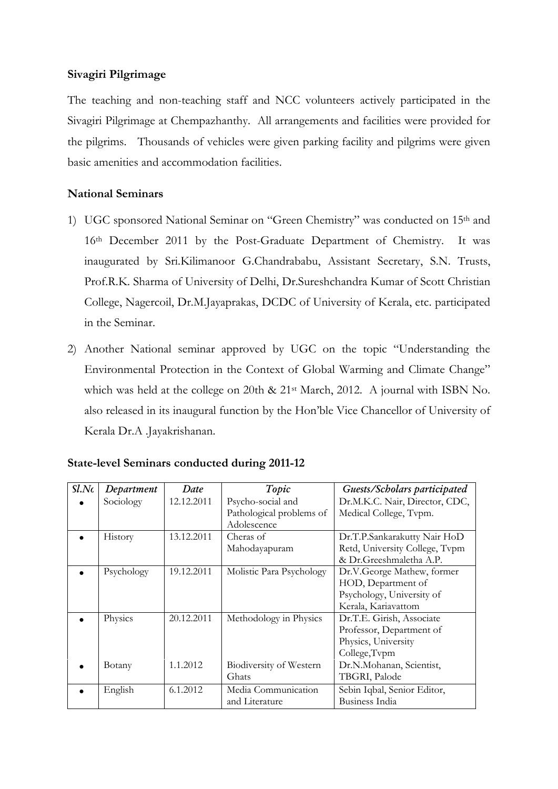### **Sivagiri Pilgrimage**

The teaching and non-teaching staff and NCC volunteers actively participated in the Sivagiri Pilgrimage at Chempazhanthy. All arrangements and facilities were provided for the pilgrims. Thousands of vehicles were given parking facility and pilgrims were given basic amenities and accommodation facilities.

### **National Seminars**

- 1) UGC sponsored National Seminar on "Green Chemistry" was conducted on 15th and 16th December 2011 by the Post-Graduate Department of Chemistry. It was inaugurated by Sri.Kilimanoor G.Chandrababu, Assistant Secretary, S.N. Trusts, Prof.R.K. Sharma of University of Delhi, Dr.Sureshchandra Kumar of Scott Christian College, Nagercoil, Dr.M.Jayaprakas, DCDC of University of Kerala, etc. participated in the Seminar.
- 2) Another National seminar approved by UGC on the topic "Understanding the Environmental Protection in the Context of Global Warming and Climate Change" which was held at the college on 20th & 21<sup>st</sup> March, 2012. A journal with ISBN No. also released in its inaugural function by the Hon'ble Vice Chancellor of University of Kerala Dr.A .Jayakrishanan.

| Sl.Nc | Department | Date       | Topic                    | Guests/Scholars participated   |
|-------|------------|------------|--------------------------|--------------------------------|
|       | Sociology  | 12.12.2011 | Psycho-social and        | Dr.M.K.C. Nair, Director, CDC, |
|       |            |            | Pathological problems of | Medical College, Tvpm.         |
|       |            |            | Adolescence              |                                |
|       | History    | 13.12.2011 | Cheras of                | Dr.T.P.Sankarakutty Nair HoD   |
|       |            |            | Mahodayapuram            | Retd, University College, Tvpm |
|       |            |            |                          | & Dr.Greeshmaletha A.P.        |
|       | Psychology | 19.12.2011 | Molistic Para Psychology | Dr.V.George Mathew, former     |
|       |            |            |                          | HOD, Department of             |
|       |            |            |                          | Psychology, University of      |
|       |            |            |                          | Kerala, Kariavattom            |
|       | Physics    | 20.12.2011 | Methodology in Physics   | Dr.T.E. Girish, Associate      |
|       |            |            |                          | Professor, Department of       |
|       |            |            |                          | Physics, University            |
|       |            |            |                          | College, Tvpm                  |
|       | Botany     | 1.1.2012   | Biodiversity of Western  | Dr.N.Mohanan, Scientist,       |
|       |            |            | Ghats                    | TBGRI, Palode                  |
|       | English    | 6.1.2012   | Media Communication      | Sebin Iqbal, Senior Editor,    |
|       |            |            | and Literature           | Business India                 |

# **State-level Seminars conducted during 2011-12**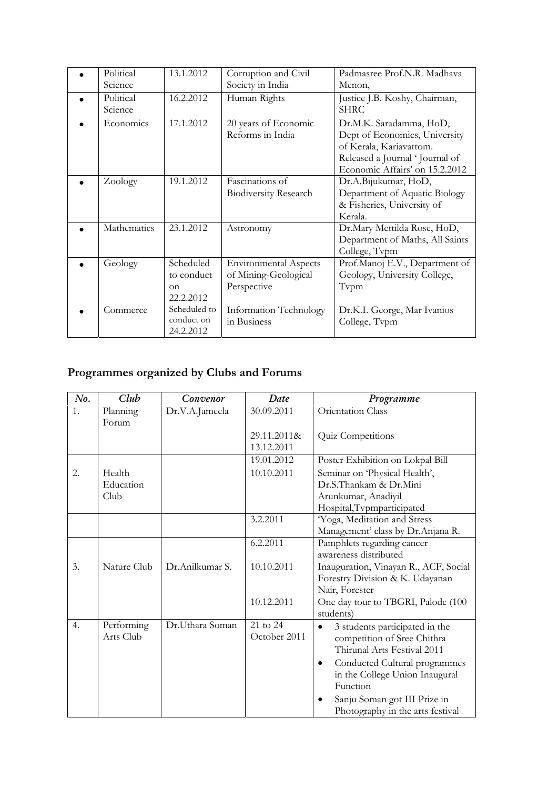| Political<br>Science | 13.1.2012                                        | Corruption and Civil<br>Society in India                            | Padmasree Prof.N.R. Madhava<br>Menon,                                                                                                                   |
|----------------------|--------------------------------------------------|---------------------------------------------------------------------|---------------------------------------------------------------------------------------------------------------------------------------------------------|
| Political<br>Science | 16.2.2012                                        | Human Rights                                                        | Justice J.B. Koshy, Chairman,<br><b>SHRC</b>                                                                                                            |
| Economics            | 17.1.2012                                        | 20 years of Economic<br>Reforms in India                            | Dr.M.K. Saradamma, HoD,<br>Dept of Economics, University<br>of Kerala, Kariavattom.<br>Released a Journal 'Journal of<br>Economic Affairs' on 15.2.2012 |
| Zoology              | 19.1.2012                                        | Fascinations of<br><b>Biodiversity Research</b>                     | Dr.A.Bijukumar, HoD,<br>Department of Aquatic Biology<br>& Fisheries, University of<br>Kerala.                                                          |
| Mathematics          | 23.1.2012                                        | Astronomy                                                           | Dr.Mary Mettilda Rose, HoD,<br>Department of Maths, All Saints<br>College, Tvpm                                                                         |
| Geology              | Scheduled<br>to conduct<br>$\alpha$<br>22.2.2012 | <b>Environmental Aspects</b><br>of Mining-Geological<br>Perspective | Prof.Manoj E.V., Department of<br>Geology, University College,<br>Tvpm                                                                                  |
| Commerce             | Scheduled to<br>conduct on<br>24.2.2012          | <b>Information Technology</b><br>in Business                        | Dr.K.I. George, Mar Ivanios<br>College, Tvpm                                                                                                            |

# **Programmes organized by Clubs and Forums**

| No. | Club                    | Convenor        | Date                      | Programme                                                                                    |  |
|-----|-------------------------|-----------------|---------------------------|----------------------------------------------------------------------------------------------|--|
| 1.  | Planning<br>Forum       | Dr.V.A.Jameela  | 30.09.2011                | Orientation Class                                                                            |  |
|     |                         |                 | 29.11.2011&<br>13.12.2011 | Quiz Competitions                                                                            |  |
|     |                         |                 | 19.01.2012                | Poster Exhibition on Lokpal Bill                                                             |  |
| 2.  | Health                  |                 | 10.10.2011                | Seminar on 'Physical Health',                                                                |  |
|     | Education               |                 |                           | Dr.S.Thankam & Dr.Mini                                                                       |  |
|     | Club                    |                 |                           | Arunkumar, Anadiyil                                                                          |  |
|     |                         |                 |                           | Hospital, Tvpmparticipated                                                                   |  |
|     |                         |                 | 3.2.2011                  | Yoga, Meditation and Stress                                                                  |  |
|     |                         |                 |                           | Management' class by Dr.Anjana R.                                                            |  |
|     |                         |                 | 6.2.2011                  | Pamphlets regarding cancer                                                                   |  |
|     |                         |                 |                           | awareness distributed                                                                        |  |
| 3.  | Nature Club             | Dr.Anilkumar S. | 10.10.2011                | Inauguration, Vinayan R., ACF, Social<br>Forestry Division & K. Udayanan                     |  |
|     |                         |                 |                           | Nair, Forester                                                                               |  |
|     |                         |                 | 10.12.2011                | One day tour to TBGRI, Palode (100<br>students)                                              |  |
| 4.  | Performing<br>Arts Club | Dr.Uthara Soman | 21 to 24<br>October 2011  | 3 students participated in the<br>competition of Sree Chithra<br>Thirunal Arts Festival 2011 |  |
|     |                         |                 |                           | Conducted Cultural programmes<br>$\bullet$<br>in the College Union Inaugural<br>Function     |  |
|     |                         |                 |                           | Sanju Soman got III Prize in<br>Photography in the arts festival                             |  |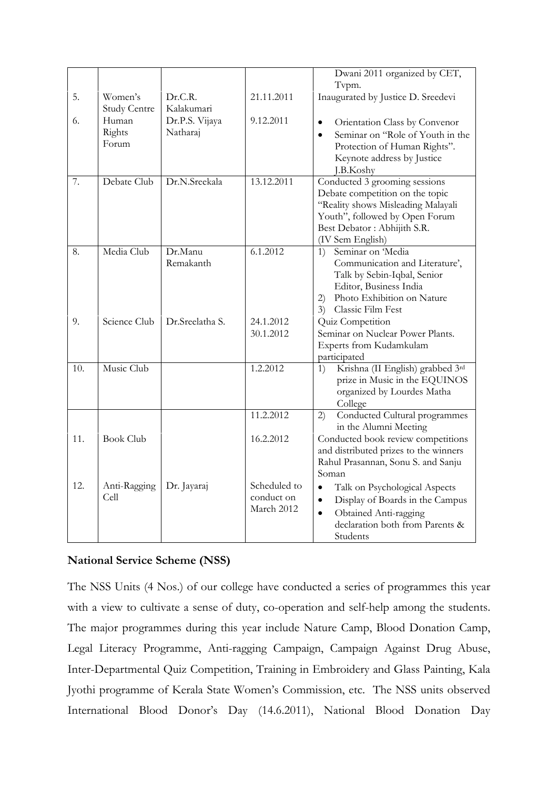|     |                                |                            |                                          | Dwani 2011 organized by CET,<br>Tvpm.                                                                                                                                                        |
|-----|--------------------------------|----------------------------|------------------------------------------|----------------------------------------------------------------------------------------------------------------------------------------------------------------------------------------------|
| 5.  | Women's<br><b>Study Centre</b> | Dr.C.R.<br>Kalakumari      | 21.11.2011                               | Inaugurated by Justice D. Sreedevi                                                                                                                                                           |
| 6.  | Human<br>Rights<br>Forum       | Dr.P.S. Vijaya<br>Natharaj | 9.12.2011                                | Orientation Class by Convenor<br>$\bullet$<br>Seminar on "Role of Youth in the<br>$\bullet$<br>Protection of Human Rights".<br>Keynote address by Justice<br>J.B.Koshy                       |
| 7.  | Debate Club                    | Dr.N.Sreekala              | 13.12.2011                               | Conducted 3 grooming sessions<br>Debate competition on the topic<br>"Reality shows Misleading Malayali<br>Youth", followed by Open Forum<br>Best Debator : Abhijith S.R.<br>(IV Sem English) |
| 8.  | Media Club                     | Dr.Manu<br>Remakanth       | 6.1.2012                                 | Seminar on 'Media<br>1)<br>Communication and Literature',<br>Talk by Sebin-Iqbal, Senior<br>Editor, Business India<br>Photo Exhibition on Nature<br>2)<br>Classic Film Fest<br>3)            |
| 9.  | Science Club                   | Dr.Sreelatha S.            | 24.1.2012                                | Quiz Competition                                                                                                                                                                             |
|     |                                |                            | 30.1.2012                                | Seminar on Nuclear Power Plants.<br>Experts from Kudamkulam<br>participated                                                                                                                  |
| 10. | Music Club                     |                            | 1.2.2012                                 | Krishna (II English) grabbed 3rd<br>1)<br>prize in Music in the EQUINOS<br>organized by Lourdes Matha<br>College                                                                             |
|     |                                |                            | 11.2.2012                                | Conducted Cultural programmes<br>2)<br>in the Alumni Meeting                                                                                                                                 |
| 11. | <b>Book Club</b>               |                            | 16.2.2012                                | Conducted book review competitions<br>and distributed prizes to the winners<br>Rahul Prasannan, Sonu S. and Sanju<br>Soman                                                                   |
| 12. | Anti-Ragging<br>Cell           | Dr. Jayaraj                | Scheduled to<br>conduct on<br>March 2012 | $\bullet$<br>Talk on Psychological Aspects<br>Display of Boards in the Campus<br>$\bullet$<br>Obtained Anti-ragging<br>$\bullet$<br>declaration both from Parents &<br>Students              |

### **National Service Scheme (NSS)**

The NSS Units (4 Nos.) of our college have conducted a series of programmes this year with a view to cultivate a sense of duty, co-operation and self-help among the students. The major programmes during this year include Nature Camp, Blood Donation Camp, Legal Literacy Programme, Anti-ragging Campaign, Campaign Against Drug Abuse, Inter-Departmental Quiz Competition, Training in Embroidery and Glass Painting, Kala Jyothi programme of Kerala State Women's Commission, etc. The NSS units observed International Blood Donor's Day (14.6.2011), National Blood Donation Day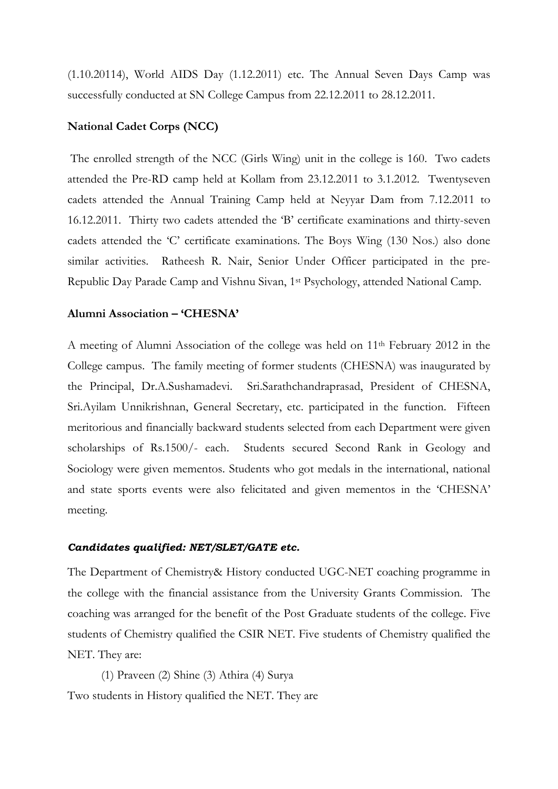(1.10.20114), World AIDS Day (1.12.2011) etc. The Annual Seven Days Camp was successfully conducted at SN College Campus from 22.12.2011 to 28.12.2011.

#### **National Cadet Corps (NCC)**

 The enrolled strength of the NCC (Girls Wing) unit in the college is 160. Two cadets attended the Pre-RD camp held at Kollam from 23.12.2011 to 3.1.2012. Twentyseven cadets attended the Annual Training Camp held at Neyyar Dam from 7.12.2011 to 16.12.2011. Thirty two cadets attended the 'B' certificate examinations and thirty-seven cadets attended the 'C' certificate examinations. The Boys Wing (130 Nos.) also done similar activities. Ratheesh R. Nair, Senior Under Officer participated in the pre-Republic Day Parade Camp and Vishnu Sivan, 1st Psychology, attended National Camp.

#### **Alumni Association – 'CHESNA'**

A meeting of Alumni Association of the college was held on 11th February 2012 in the College campus. The family meeting of former students (CHESNA) was inaugurated by the Principal, Dr.A.Sushamadevi. Sri.Sarathchandraprasad, President of CHESNA, Sri.Ayilam Unnikrishnan, General Secretary, etc. participated in the function. Fifteen meritorious and financially backward students selected from each Department were given scholarships of Rs.1500/- each. Students secured Second Rank in Geology and Sociology were given mementos. Students who got medals in the international, national and state sports events were also felicitated and given mementos in the 'CHESNA' meeting.

#### *Candidates qualified: NET/SLET/GATE etc.*

The Department of Chemistry& History conducted UGC-NET coaching programme in the college with the financial assistance from the University Grants Commission. The coaching was arranged for the benefit of the Post Graduate students of the college. Five students of Chemistry qualified the CSIR NET. Five students of Chemistry qualified the NET. They are:

(1) Praveen (2) Shine (3) Athira (4) Surya Two students in History qualified the NET. They are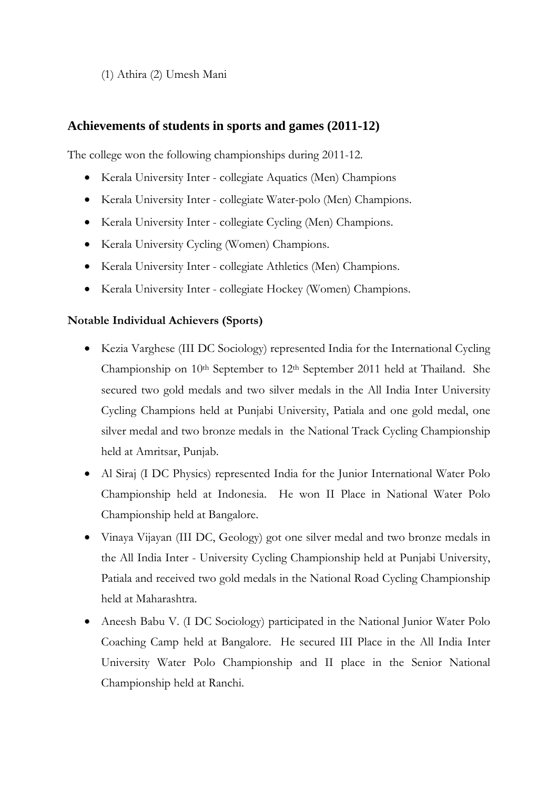(1) Athira (2) Umesh Mani

# **Achievements of students in sports and games (2011-12)**

The college won the following championships during 2011-12.

- Kerala University Inter collegiate Aquatics (Men) Champions
- Kerala University Inter collegiate Water-polo (Men) Champions.
- Kerala University Inter collegiate Cycling (Men) Champions.
- Kerala University Cycling (Women) Champions.
- Kerala University Inter collegiate Athletics (Men) Champions.
- Kerala University Inter collegiate Hockey (Women) Champions.

### **Notable Individual Achievers (Sports)**

- Kezia Varghese (III DC Sociology) represented India for the International Cycling Championship on 10<sup>th</sup> September to 12<sup>th</sup> September 2011 held at Thailand. She secured two gold medals and two silver medals in the All India Inter University Cycling Champions held at Punjabi University, Patiala and one gold medal, one silver medal and two bronze medals in the National Track Cycling Championship held at Amritsar, Punjab.
- Al Siraj (I DC Physics) represented India for the Junior International Water Polo Championship held at Indonesia. He won II Place in National Water Polo Championship held at Bangalore.
- Vinaya Vijayan (III DC, Geology) got one silver medal and two bronze medals in the All India Inter - University Cycling Championship held at Punjabi University, Patiala and received two gold medals in the National Road Cycling Championship held at Maharashtra.
- Aneesh Babu V. (I DC Sociology) participated in the National Junior Water Polo Coaching Camp held at Bangalore. He secured III Place in the All India Inter University Water Polo Championship and II place in the Senior National Championship held at Ranchi.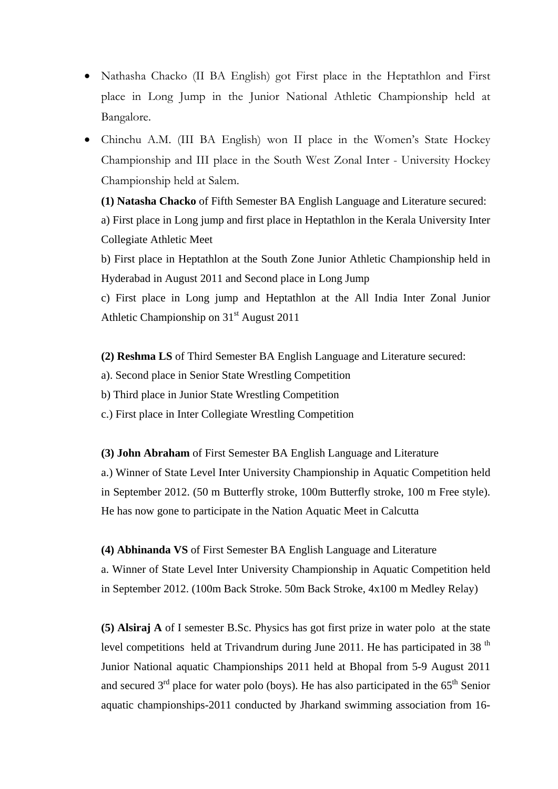- Nathasha Chacko (II BA English) got First place in the Heptathlon and First place in Long Jump in the Junior National Athletic Championship held at Bangalore.
- Chinchu A.M. (III BA English) won II place in the Women's State Hockey Championship and III place in the South West Zonal Inter - University Hockey Championship held at Salem.

**(1) Natasha Chacko** of Fifth Semester BA English Language and Literature secured: a) First place in Long jump and first place in Heptathlon in the Kerala University Inter Collegiate Athletic Meet

b) First place in Heptathlon at the South Zone Junior Athletic Championship held in Hyderabad in August 2011 and Second place in Long Jump

c) First place in Long jump and Heptathlon at the All India Inter Zonal Junior Athletic Championship on  $31<sup>st</sup>$  August 2011

**(2) Reshma LS** of Third Semester BA English Language and Literature secured:

a). Second place in Senior State Wrestling Competition

b) Third place in Junior State Wrestling Competition

c.) First place in Inter Collegiate Wrestling Competition

**(3) John Abraham** of First Semester BA English Language and Literature

a.) Winner of State Level Inter University Championship in Aquatic Competition held in September 2012. (50 m Butterfly stroke, 100m Butterfly stroke, 100 m Free style). He has now gone to participate in the Nation Aquatic Meet in Calcutta

**(4) Abhinanda VS** of First Semester BA English Language and Literature

a. Winner of State Level Inter University Championship in Aquatic Competition held in September 2012. (100m Back Stroke. 50m Back Stroke, 4x100 m Medley Relay)

**(5) Alsiraj A** of I semester B.Sc. Physics has got first prize in water polo at the state level competitions held at Trivandrum during June 2011. He has participated in 38<sup>th</sup> Junior National aquatic Championships 2011 held at Bhopal from 5-9 August 2011 and secured  $3<sup>rd</sup>$  place for water polo (boys). He has also participated in the  $65<sup>th</sup>$  Senior aquatic championships-2011 conducted by Jharkand swimming association from 16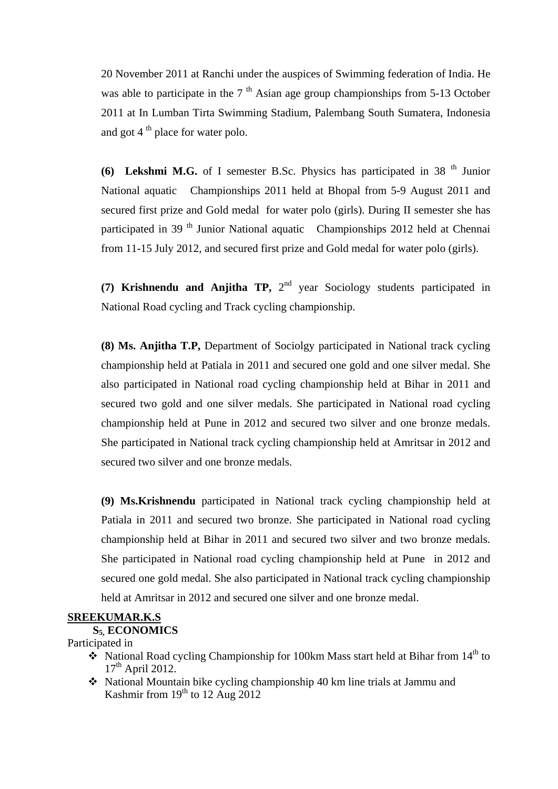20 November 2011 at Ranchi under the auspices of Swimming federation of India. He was able to participate in the  $7<sup>th</sup>$  Asian age group championships from 5-13 October 2011 at In Lumban Tirta Swimming Stadium, Palembang South Sumatera, Indonesia and got  $4<sup>th</sup>$  place for water polo.

**(6) Lekshmi M.G.** of I semester B.Sc. Physics has participated in 38<sup>th</sup> Junior National aquatic Championships 2011 held at Bhopal from 5-9 August 2011 and secured first prize and Gold medal for water polo (girls). During II semester she has participated in 39<sup>th</sup> Junior National aquatic Championships 2012 held at Chennai from 11-15 July 2012, and secured first prize and Gold medal for water polo (girls).

(7) **Krishnendu and Anjitha TP,**  $2^{nd}$  year Sociology students participated in National Road cycling and Track cycling championship.

**(8) Ms. Anjitha T.P,** Department of Sociolgy participated in National track cycling championship held at Patiala in 2011 and secured one gold and one silver medal. She also participated in National road cycling championship held at Bihar in 2011 and secured two gold and one silver medals. She participated in National road cycling championship held at Pune in 2012 and secured two silver and one bronze medals. She participated in National track cycling championship held at Amritsar in 2012 and secured two silver and one bronze medals.

**(9) Ms.Krishnendu** participated in National track cycling championship held at Patiala in 2011 and secured two bronze. She participated in National road cycling championship held at Bihar in 2011 and secured two silver and two bronze medals. She participated in National road cycling championship held at Pune in 2012 and secured one gold medal. She also participated in National track cycling championship held at Amritsar in 2012 and secured one silver and one bronze medal.

### **SREEKUMAR.K.S**

### **S5, ECONOMICS**

#### Participated in

- $\bullet$  National Road cycling Championship for 100km Mass start held at Bihar from 14<sup>th</sup> to  $17<sup>th</sup>$  April 2012.
- $\triangleleft$  National Mountain bike cycling championship 40 km line trials at Jammu and Kashmir from  $19<sup>th</sup>$  to  $12$  Aug  $2012$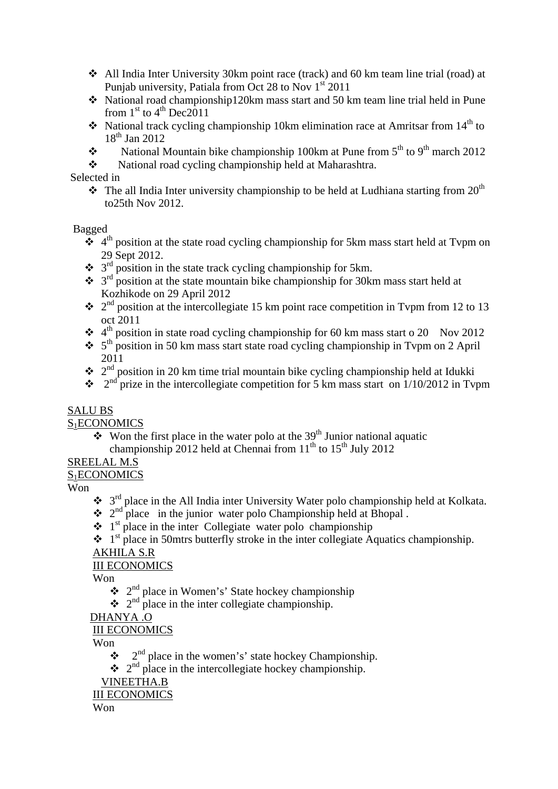- All India Inter University 30km point race (track) and 60 km team line trial (road) at Punjab university, Patiala from Oct 28 to Nov  $1<sup>st</sup>$  2011
- National road championship120km mass start and 50 km team line trial held in Pune from  $1<sup>st</sup>$  to  $4<sup>th</sup>$  Dec2011
- National track cycling championship 10km elimination race at Amritsar from  $14<sup>th</sup>$  to  $18^{th}$  Jan 2012
- National Mountain bike championship 100km at Pune from  $5<sup>th</sup>$  to  $9<sup>th</sup>$  march 2012
- National road cycling championship held at Maharashtra.

Selected in

 $\cdot \cdot$  The all India Inter university championship to be held at Ludhiana starting from 20<sup>th</sup> to25th Nov 2012.

Bagged

- $\ddot{\bullet}$  4<sup>th</sup> position at the state road cycling championship for 5km mass start held at Typm on 29 Sept 2012.
- $\div$  3<sup>rd</sup> position in the state track cycling championship for 5km.
- $\cdot$  3<sup>rd</sup> position at the state mountain bike championship for 30km mass start held at Kozhikode on 29 April 2012
- $\cdot \cdot$  2<sup>nd</sup> position at the intercollegiate 15 km point race competition in Typm from 12 to 13 oct 2011
- $\cdot$  4<sup>th</sup> position in state road cycling championship for 60 km mass start o 20 Nov 2012
- $\cdot$  5<sup>th</sup> position in 50 km mass start state road cycling championship in Typm on 2 April 2011
- $\cdot \cdot$  2<sup>nd</sup> position in 20 km time trial mountain bike cycling championship held at Idukki
- $\cdot \cdot$   $2<sup>nd</sup>$  prize in the intercollegiate competition for 5 km mass start on 1/10/2012 in Typm

### SALU BS

S<sub>1</sub>ECONOMICS

 $\sqrt{\cdot}$  Won the first place in the water polo at the 39<sup>th</sup> Junior national aquatic championship 2012 held at Chennai from  $11<sup>th</sup>$  to  $15<sup>th</sup>$  July 2012

# SREELAL M.S

# S1ECONOMICS

Won

- $\bullet$  3<sup>rd</sup> place in the All India inter University Water polo championship held at Kolkata.
- $\cdot \cdot$  2<sup>nd</sup> place in the junior water polo Championship held at Bhopal.
- $\cdot \cdot$  1<sup>st</sup> place in the inter Collegiate water polo championship
- $\cdot \cdot$  1<sup>st</sup> place in 50mtrs butterfly stroke in the inter collegiate Aquatics championship.

# AKHILA S.R

# III ECONOMICS

Won

- $\cdot \cdot \cdot$  2<sup>nd</sup> place in Women's' State hockey championship
- $\cdot \cdot$  2<sup>nd</sup> place in the inter collegiate championship.

# DHANYA .O

### III ECONOMICS

Won

- $\bullet$  2<sup>nd</sup> place in the women's' state hockey Championship.
- $\cdot \cdot$   $2^{nd}$  place in the intercollegiate hockey championship.

VINEETHA.B

#### III ECONOMICS

Won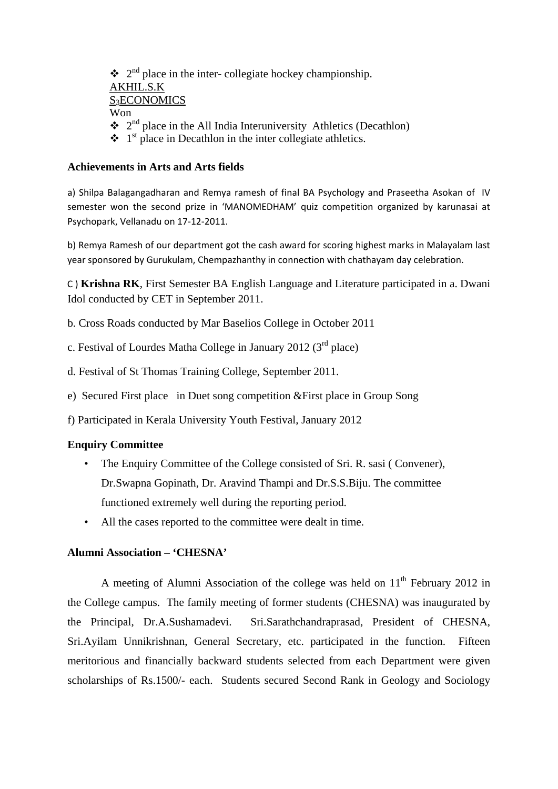$\cdot \cdot$  2<sup>nd</sup> place in the inter- collegiate hockey championship. AKHIL.S.K S<sub>3</sub>ECONOMICS Won  $\cdot \cdot$  2<sup>nd</sup> place in the All India Interuniversity Athletics (Decathlon)  $\cdot \cdot \cdot$  1<sup>st</sup> place in Decathlon in the inter collegiate athletics.

#### **Achievements in Arts and Arts fields**

a) Shilpa Balagangadharan and Remya ramesh of final BA Psychology and Praseetha Asokan of IV semester won the second prize in 'MANOMEDHAM' quiz competition organized by karunasai at Psychopark, Vellanadu on 17‐12‐2011.

b) Remya Ramesh of our department got the cash award for scoring highest marks in Malayalam last year sponsored by Gurukulam, Chempazhanthy in connection with chathayam day celebration.

C ) **Krishna RK**, First Semester BA English Language and Literature participated in a. Dwani Idol conducted by CET in September 2011.

b. Cross Roads conducted by Mar Baselios College in October 2011

c. Festival of Lourdes Matha College in January 2012 ( $3<sup>rd</sup>$  place)

d. Festival of St Thomas Training College, September 2011.

e) Secured First place in Duet song competition &First place in Group Song

f) Participated in Kerala University Youth Festival, January 2012

#### **Enquiry Committee**

- The Enquiry Committee of the College consisted of Sri. R. sasi (Convener), Dr.Swapna Gopinath, Dr. Aravind Thampi and Dr.S.S.Biju. The committee functioned extremely well during the reporting period.
- All the cases reported to the committee were dealt in time.

#### **Alumni Association – 'CHESNA'**

A meeting of Alumni Association of the college was held on  $11<sup>th</sup>$  February 2012 in the College campus. The family meeting of former students (CHESNA) was inaugurated by the Principal, Dr.A.Sushamadevi. Sri.Sarathchandraprasad, President of CHESNA, Sri.Ayilam Unnikrishnan, General Secretary, etc. participated in the function. Fifteen meritorious and financially backward students selected from each Department were given scholarships of Rs.1500/- each. Students secured Second Rank in Geology and Sociology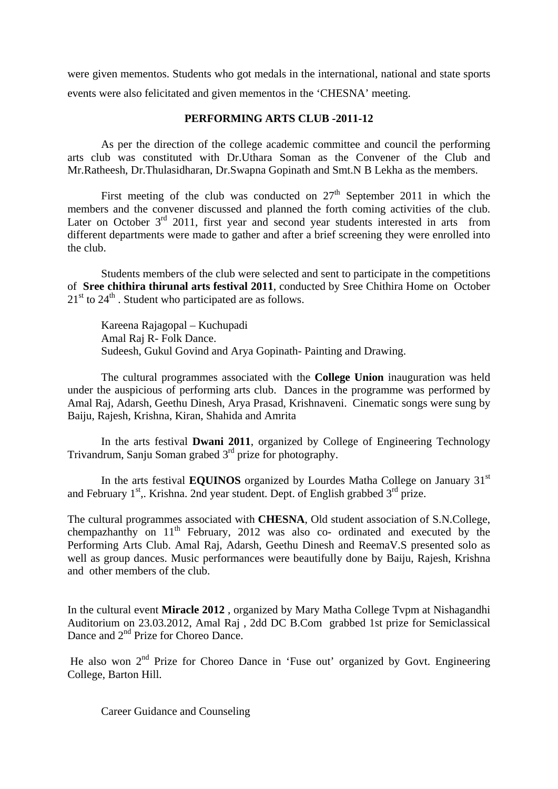were given mementos. Students who got medals in the international, national and state sports events were also felicitated and given mementos in the 'CHESNA' meeting.

#### **PERFORMING ARTS CLUB -2011-12**

 As per the direction of the college academic committee and council the performing arts club was constituted with Dr.Uthara Soman as the Convener of the Club and Mr.Ratheesh, Dr.Thulasidharan, Dr.Swapna Gopinath and Smt.N B Lekha as the members.

First meeting of the club was conducted on  $27<sup>th</sup>$  September 2011 in which the members and the convener discussed and planned the forth coming activities of the club. Later on October  $3<sup>rd</sup>$  2011, first year and second year students interested in arts from different departments were made to gather and after a brief screening they were enrolled into the club.

 Students members of the club were selected and sent to participate in the competitions of **Sree chithira thirunal arts festival 2011**, conducted by Sree Chithira Home on October  $21<sup>st</sup>$  to  $24<sup>th</sup>$ . Student who participated are as follows.

 Kareena Rajagopal – Kuchupadi Amal Raj R- Folk Dance. Sudeesh, Gukul Govind and Arya Gopinath- Painting and Drawing.

 The cultural programmes associated with the **College Union** inauguration was held under the auspicious of performing arts club. Dances in the programme was performed by Amal Raj, Adarsh, Geethu Dinesh, Arya Prasad, Krishnaveni. Cinematic songs were sung by Baiju, Rajesh, Krishna, Kiran, Shahida and Amrita

 In the arts festival **Dwani 2011**, organized by College of Engineering Technology Trivandrum, Sanju Soman grabed 3rd prize for photography.

In the arts festival **EQUINOS** organized by Lourdes Matha College on January 31<sup>st</sup> and February  $1<sup>st</sup>$ ,. Krishna. 2nd year student. Dept. of English grabbed  $3<sup>rd</sup>$  prize.

The cultural programmes associated with **CHESNA**, Old student association of S.N.College, chempazhanthy on  $11<sup>th</sup>$  February, 2012 was also co- ordinated and executed by the Performing Arts Club. Amal Raj, Adarsh, Geethu Dinesh and ReemaV.S presented solo as well as group dances. Music performances were beautifully done by Baiju, Rajesh, Krishna and other members of the club.

In the cultural event **Miracle 2012** , organized by Mary Matha College Tvpm at Nishagandhi Auditorium on 23.03.2012, Amal Raj , 2dd DC B.Com grabbed 1st prize for Semiclassical Dance and 2<sup>nd</sup> Prize for Choreo Dance.

He also won  $2<sup>nd</sup>$  Prize for Choreo Dance in 'Fuse out' organized by Govt. Engineering College, Barton Hill.

Career Guidance and Counseling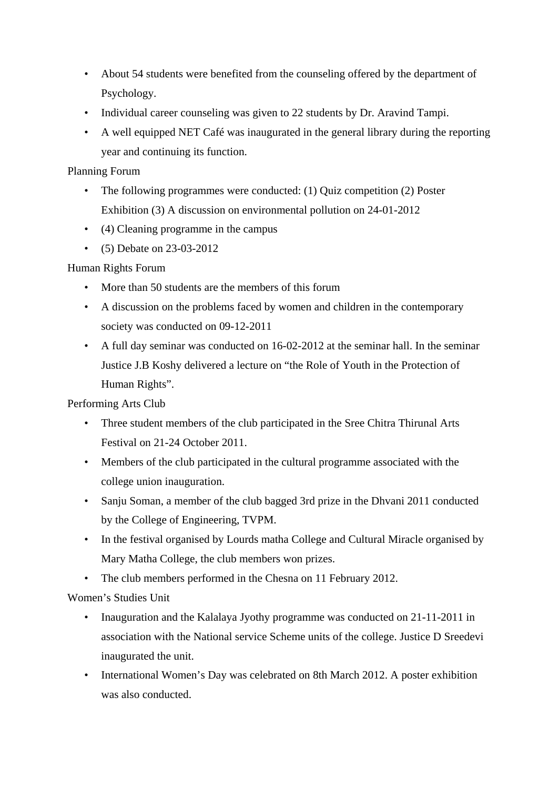- About 54 students were benefited from the counseling offered by the department of Psychology.
- Individual career counseling was given to 22 students by Dr. Aravind Tampi.
- A well equipped NET Café was inaugurated in the general library during the reporting year and continuing its function.

Planning Forum

- The following programmes were conducted: (1) Quiz competition (2) Poster Exhibition (3) A discussion on environmental pollution on 24-01-2012
- (4) Cleaning programme in the campus
- (5) Debate on 23-03-2012

# Human Rights Forum

- More than 50 students are the members of this forum
- A discussion on the problems faced by women and children in the contemporary society was conducted on 09-12-2011
- A full day seminar was conducted on 16-02-2012 at the seminar hall. In the seminar Justice J.B Koshy delivered a lecture on "the Role of Youth in the Protection of Human Rights".

Performing Arts Club

- Three student members of the club participated in the Sree Chitra Thirunal Arts Festival on 21-24 October 2011.
- Members of the club participated in the cultural programme associated with the college union inauguration.
- Sanju Soman, a member of the club bagged 3rd prize in the Dhvani 2011 conducted by the College of Engineering, TVPM.
- In the festival organised by Lourds matha College and Cultural Miracle organised by Mary Matha College, the club members won prizes.
- The club members performed in the Chesna on 11 February 2012.

Women's Studies Unit

- Inauguration and the Kalalaya Jyothy programme was conducted on 21-11-2011 in association with the National service Scheme units of the college. Justice D Sreedevi inaugurated the unit.
- International Women's Day was celebrated on 8th March 2012. A poster exhibition was also conducted.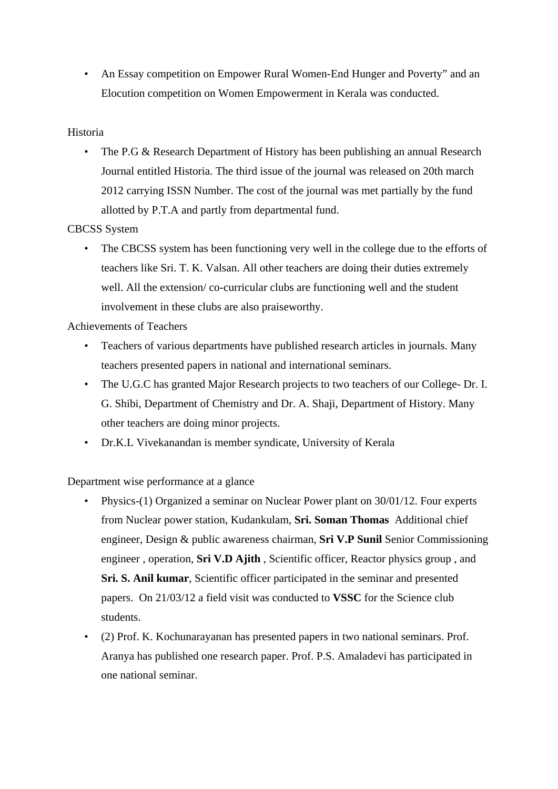• An Essay competition on Empower Rural Women-End Hunger and Poverty" and an Elocution competition on Women Empowerment in Kerala was conducted.

### Historia

• The P.G & Research Department of History has been publishing an annual Research Journal entitled Historia. The third issue of the journal was released on 20th march 2012 carrying ISSN Number. The cost of the journal was met partially by the fund allotted by P.T.A and partly from departmental fund.

### CBCSS System

• The CBCSS system has been functioning very well in the college due to the efforts of teachers like Sri. T. K. Valsan. All other teachers are doing their duties extremely well. All the extension/ co-curricular clubs are functioning well and the student involvement in these clubs are also praiseworthy.

### Achievements of Teachers

- Teachers of various departments have published research articles in journals. Many teachers presented papers in national and international seminars.
- The U.G.C has granted Major Research projects to two teachers of our College- Dr. I. G. Shibi, Department of Chemistry and Dr. A. Shaji, Department of History. Many other teachers are doing minor projects.
- Dr.K.L Vivekanandan is member syndicate, University of Kerala

Department wise performance at a glance

- Physics-(1) Organized a seminar on Nuclear Power plant on 30/01/12. Four experts from Nuclear power station, Kudankulam, **Sri. Soman Thomas** Additional chief engineer, Design & public awareness chairman, **Sri V.P Sunil** Senior Commissioning engineer , operation, **Sri V.D Ajith** , Scientific officer, Reactor physics group , and **Sri. S. Anil kumar**, Scientific officer participated in the seminar and presented papers. On 21/03/12 a field visit was conducted to **VSSC** for the Science club students.
- (2) Prof. K. Kochunarayanan has presented papers in two national seminars. Prof. Aranya has published one research paper. Prof. P.S. Amaladevi has participated in one national seminar.